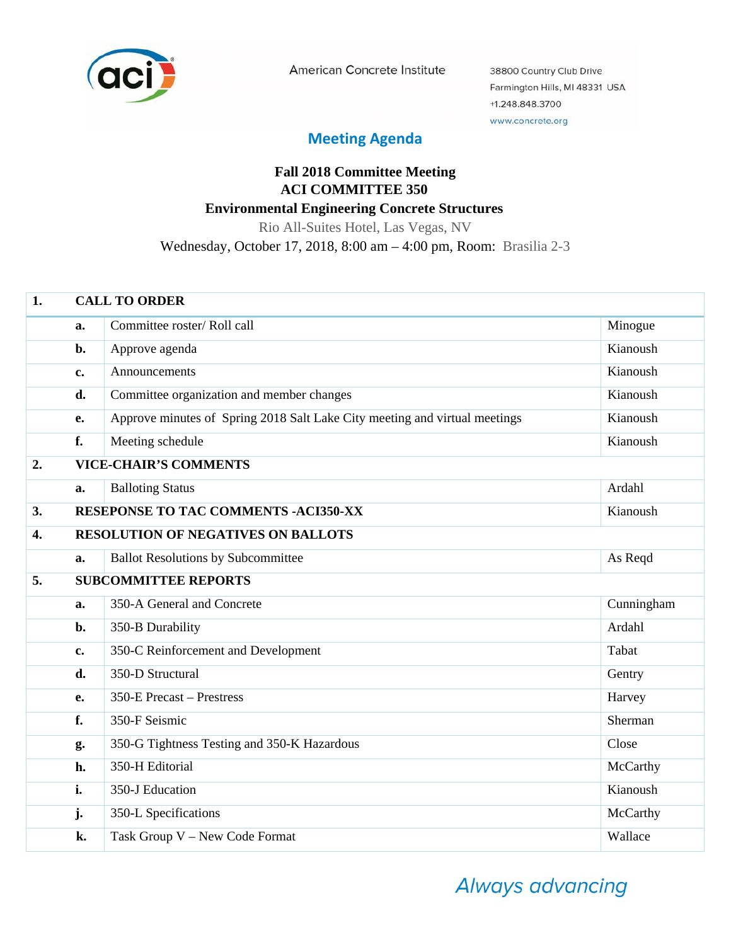

American Concrete Institute

38800 Country Club Drive Farmington Hills, MI 48331 USA +1.248.848.3700 www.concrete.org

## **Meeting Agenda**

## **Fall 2018 Committee Meeting ACI COMMITTEE 350 Environmental Engineering Concrete Structures**

Rio All-Suites Hotel, Las Vegas, NV

Wednesday, October 17, 2018, 8:00 am – 4:00 pm, Room: Brasilia 2-3

| 1.               | <b>CALL TO ORDER</b> |                                                                            |            |  |
|------------------|----------------------|----------------------------------------------------------------------------|------------|--|
|                  | a.                   | Committee roster/Roll call                                                 | Minogue    |  |
|                  | b.                   | Approve agenda                                                             | Kianoush   |  |
|                  | c.                   | Announcements                                                              | Kianoush   |  |
|                  | d.                   | Committee organization and member changes                                  | Kianoush   |  |
|                  | e.                   | Approve minutes of Spring 2018 Salt Lake City meeting and virtual meetings | Kianoush   |  |
|                  | f.                   | Meeting schedule                                                           | Kianoush   |  |
| 2.               |                      | <b>VICE-CHAIR'S COMMENTS</b>                                               |            |  |
|                  | a.                   | <b>Balloting Status</b>                                                    | Ardahl     |  |
| 3.               |                      | <b>RESEPONSE TO TAC COMMENTS -ACI350-XX</b>                                | Kianoush   |  |
| $\overline{4}$ . |                      | <b>RESOLUTION OF NEGATIVES ON BALLOTS</b>                                  |            |  |
|                  | a.                   | <b>Ballot Resolutions by Subcommittee</b>                                  | As Reqd    |  |
| 5.               |                      | <b>SUBCOMMITTEE REPORTS</b>                                                |            |  |
|                  | a.                   | 350-A General and Concrete                                                 | Cunningham |  |
|                  | b.                   | 350-B Durability                                                           | Ardahl     |  |
|                  | c.                   | 350-C Reinforcement and Development                                        | Tabat      |  |
|                  | d.                   | 350-D Structural                                                           | Gentry     |  |
|                  | e.                   | 350-E Precast - Prestress                                                  | Harvey     |  |
|                  | f.                   | 350-F Seismic                                                              | Sherman    |  |
|                  | g.                   | 350-G Tightness Testing and 350-K Hazardous                                | Close      |  |
|                  | h.                   | 350-H Editorial                                                            | McCarthy   |  |
|                  | i.                   | 350-J Education                                                            | Kianoush   |  |
|                  | $\mathbf{j}$ .       | 350-L Specifications                                                       | McCarthy   |  |
|                  | k.                   | Task Group V - New Code Format                                             | Wallace    |  |

Always advancing